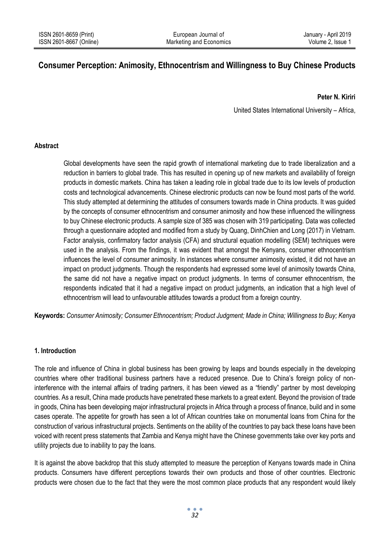# **Consumer Perception: Animosity, Ethnocentrism and Willingness to Buy Chinese Products**

**Peter N. Kiriri**

United States International University – Africa,

#### **Abstract**

Global developments have seen the rapid growth of international marketing due to trade liberalization and a reduction in barriers to global trade. This has resulted in opening up of new markets and availability of foreign products in domestic markets. China has taken a leading role in global trade due to its low levels of production costs and technological advancements. Chinese electronic products can now be found most parts of the world. This study attempted at determining the attitudes of consumers towards made in China products. It was guided by the concepts of consumer ethnocentrism and consumer animosity and how these influenced the willingness to buy Chinese electronic products. A sample size of 385 was chosen with 319 participating. Data was collected through a questionnaire adopted and modified from a study by Quang, DinhChien and Long (2017) in Vietnam. Factor analysis, confirmatory factor analysis (CFA) and structural equation modelling (SEM) techniques were used in the analysis. From the findings, it was evident that amongst the Kenyans, consumer ethnocentrism influences the level of consumer animosity. In instances where consumer animosity existed, it did not have an impact on product judgments. Though the respondents had expressed some level of animosity towards China, the same did not have a negative impact on product judgments. In terms of consumer ethnocentrism, the respondents indicated that it had a negative impact on product judgments, an indication that a high level of ethnocentrism will lead to unfavourable attitudes towards a product from a foreign country.

**Keywords:** *Consumer Animosity; Consumer Ethnocentrism; Product Judgment; Made in China; Willingness to Buy; Kenya*

## **1. Introduction**

The role and influence of China in global business has been growing by leaps and bounds especially in the developing countries where other traditional business partners have a reduced presence. Due to China's foreign policy of noninterference with the internal affairs of trading partners, it has been viewed as a "friendly" partner by most developing countries. As a result, China made products have penetrated these markets to a great extent. Beyond the provision of trade in goods, China has been developing major infrastructural projects in Africa through a process of finance, build and in some cases operate. The appetite for growth has seen a lot of African countries take on monumental loans from China for the construction of various infrastructural projects. Sentiments on the ability of the countries to pay back these loans have been voiced with recent press statements that Zambia and Kenya might have the Chinese governments take over key ports and utility projects due to inability to pay the loans.

It is against the above backdrop that this study attempted to measure the perception of Kenyans towards made in China products. Consumers have different perceptions towards their own products and those of other countries. Electronic products were chosen due to the fact that they were the most common place products that any respondent would likely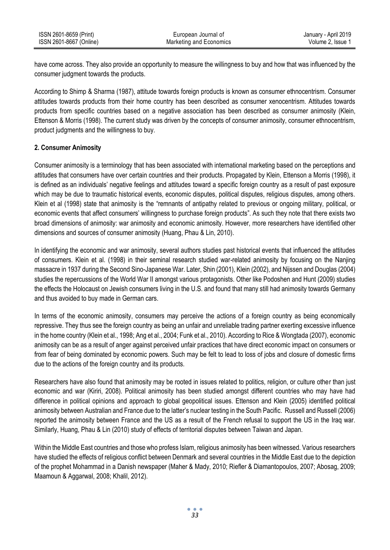| ISSN 2601-8659 (Print)  | European Journal of     | January - April 2019 |
|-------------------------|-------------------------|----------------------|
| ISSN 2601-8667 (Online) | Marketing and Economics | Volume 2. Issue 1    |

have come across. They also provide an opportunity to measure the willingness to buy and how that was influenced by the consumer judgment towards the products.

According to Shimp & Sharma (1987), attitude towards foreign products is known as consumer ethnocentrism. Consumer attitudes towards products from their home country has been described as consumer xenocentrism. Attitudes towards products from specific countries based on a negative association has been described as consumer animosity (Klein, Ettenson & Morris (1998). The current study was driven by the concepts of consumer animosity, consumer ethnocentrism, product judgments and the willingness to buy.

#### **2. Consumer Animosity**

Consumer animosity is a terminology that has been associated with international marketing based on the perceptions and attitudes that consumers have over certain countries and their products. Propagated by Klein, Ettenson a Morris (1998), it is defined as an individuals' negative feelings and attitudes toward a specific foreign country as a result of past exposure which may be due to traumatic historical events, economic disputes, political disputes, religious disputes, among others. Klein et al (1998) state that animosity is the "remnants of antipathy related to previous or ongoing military, political, or economic events that affect consumers' willingness to purchase foreign products". As such they note that there exists two broad dimensions of animosity: war animosity and economic animosity. However, more researchers have identified other dimensions and sources of consumer animosity (Huang, Phau & Lin, 2010).

In identifying the economic and war animosity, several authors studies past historical events that influenced the attitudes of consumers. Klein et al. (1998) in their seminal research studied war-related animosity by focusing on the Nanjing massacre in 1937 during the Second Sino-Japanese War. Later, Shin (2001), Klein (2002), and Nijssen and Douglas (2004) studies the repercussions of the World War II amongst various protagonists. Other like Podoshen and Hunt (2009) studies the effects the Holocaust on Jewish consumers living in the U.S. and found that many still had animosity towards Germany and thus avoided to buy made in German cars.

In terms of the economic animosity, consumers may perceive the actions of a foreign country as being economically repressive. They thus see the foreign country as being an unfair and unreliable trading partner exerting excessive influence in the home country (Klein et al., 1998; Ang et al., 2004; Funk et al., 2010). According to Rice & Wongtada (2007), economic animosity can be as a result of anger against perceived unfair practices that have direct economic impact on consumers or from fear of being dominated by economic powers. Such may be felt to lead to loss of jobs and closure of domestic firms due to the actions of the foreign country and its products.

Researchers have also found that animosity may be rooted in issues related to politics, religion, or culture other than just economic and war (Kiriri, 2008). Political animosity has been studied amongst different countries who may have had difference in political opinions and approach to global geopolitical issues. Ettenson and Klein (2005) identified political animosity between Australian and France due to the latter's nuclear testing in the South Pacific. Russell and Russell (2006) reported the animosity between France and the US as a result of the French refusal to support the US in the Iraq war. Similarly, Huang, Phau & Lin (2010) study of effects of territorial disputes between Taiwan and Japan.

Within the Middle East countries and those who profess Islam, religious animosity has been witnessed. Various researchers have studied the effects of religious conflict between Denmark and several countries in the Middle East due to the depiction of the prophet Mohammad in a Danish newspaper (Maher & Mady, 2010; Riefler & Diamantopoulos, 2007; Abosag, 2009; Maamoun & Aggarwal, 2008; Khalil, 2012).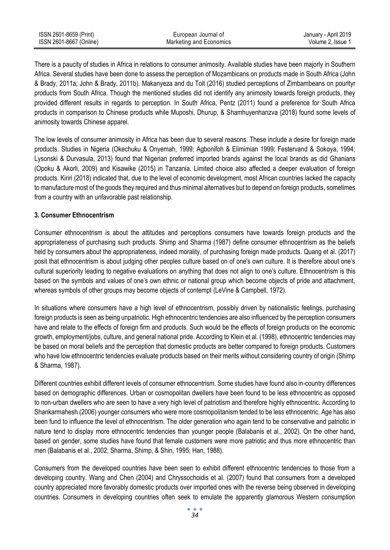| ISSN 2601-8659 (Print)  | European Journal of     | January - April 2019 |
|-------------------------|-------------------------|----------------------|
| ISSN 2601-8667 (Online) | Marketing and Economics | Volume 2. Issue 1    |

There is a paucity of studies in Africa in relations to consumer animosity. Available studies have been majorly in Southern Africa. Several studies have been done to assess the perception of Mozambicans on products made in South Africa (John & Brady, 2011a; John & Brady, 2011b). Makanyeza and du Toit (2016) studied perceptions of Zimbambeans on pourltyr products from South Africa. Though the mentioned studies did not identify any animosity towards foreign products, they provided different results in regards to perception. In South Africa, Pentz (2011) found a preference for South Africa products in comparison to Chinese products while Muposhi, Dhurup, & Shamhuyenhanzva (2018) found some levels of animosity towards Chinese apparel.

The low levels of consumer animosity in Africa has been due to several reasons. These include a desire for foreign made products. Studies in Nigeria (Okechuku & Onyemah, 1999; Agbonifoh & Elimimian 1999; Festervand & Sokoya, 1994; Lysonski & Durvasula, 2013) found that Nigerian preferred imported brands against the local brands as did Ghanians (Opoku & Akorli, 2009) and Kisawike (2015) in Tanzania. Limited choice also affected a deeper evaluation of foreign products. Kiriri (2018) indicated that, due to the level of economic development, most African countries lacked the capacity to manufacture most of the goods they required and thus minimal alternatives but to depend on foreign products, sometimes from a country with an unfavorable past relationship.

#### **3. Consumer Ethnocentrism**

Consumer ethnocentrism is about the attitudes and perceptions consumers have towards foreign products and the appropriateness of purchasing such products. Shimp and Sharma (1987) define consumer ethnocentrism as the beliefs held by consumers about the appropriateness, indeed morality, of purchasing foreign made products. Quang et al. (2017) posit that ethnocentrism is about judging other peoples culture based on of one's own culture. It is therefore about one's cultural superiority leading to negative evaluations on anything that does not align to one's culture. Ethnocentrism is this based on the symbols and values of one's own ethnic or national group which become objects of pride and attachment, whereas symbols of other groups may become objects of contempt (LeVine & Campbell, 1972).

In situations where consumers have a high level of ethnocentrism, possibly driven by nationalistic feelings, purchasing foreign products is seen as being unpatriotic. High ethnocentric tendencies are also influenced by the perception consumers have and relate to the effects of foreign firm and products. Such would be the effects of foreign products on the economic growth, employment/jobs, culture, and general national pride. According to Klein et al. (1998), ethnocentric tendencies may be based on moral beliefs and the perception that domestic products are better compared to foreign products. Customers who have low ethnocentric tendencies evaluate products based on their merits without considering country of origin (Shimp & Sharma, 1987).

Different countries exhibit different levels of consumer ethnocentrism. Some studies have found also in-country differences based on demographic differences. Urban or cosmopolitan dwellers have been found to be less ethnocentric as opposed to non-urban dwellers who are seen to have a very high level of patriotism and therefore highly ethnocentric. According to Shankarmahesh (2006) younger consumers who were more cosmopolitanism tended to be less ethnocentric. Age has also been fund to influence the level of ethnocentrism. The older generation who again tend to be conservative and patriotic in nature tend to display more ethnocentric tendencies than younger people (Balabanis et al., 2002). On the other hand, based on gender, some studies have found that female customers were more patriotic and thus more ethnocentric than men (Balabanis et al., 2002; Sharma, Shimp, & Shin, 1995; Han, 1988).

Consumers from the developed countries have been seen to exhibit different ethnocentric tendencies to those from a developing country. Wang and Chen (2004) and Chryssochoidis et al. (2007) found that consumers from a developed country appreciated more favorably domestic products over imported ones with the reverse being observed in developing countries. Consumers in developing countries often seek to emulate the apparently glamorous Western consumption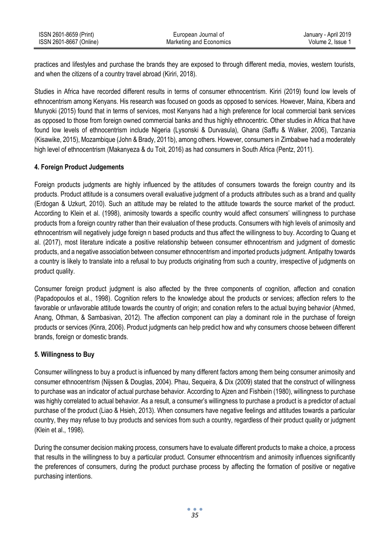| ISSN 2601-8659 (Print)  | European Journal of     | January - April 2019 |
|-------------------------|-------------------------|----------------------|
| ISSN 2601-8667 (Online) | Marketing and Economics | Volume 2. Issue 1    |

practices and lifestyles and purchase the brands they are exposed to through different media, movies, western tourists, and when the citizens of a country travel abroad (Kiriri, 2018).

Studies in Africa have recorded different results in terms of consumer ethnocentrism. Kiriri (2019) found low levels of ethnocentrism among Kenyans. His research was focused on goods as opposed to services. However, Maina, Kibera and Munyoki (2015) found that in terms of services, most Kenyans had a high preference for local commercial bank services as opposed to those from foreign owned commercial banks and thus highly ethnocentric. Other studies in Africa that have found low levels of ethnocentrism include Nigeria (Lysonski & Durvasula), Ghana (Saffu & Walker, 2006), Tanzania (Kisawike, 2015), Mozambique (John & Brady, 2011b), among others. However, consumers in Zimbabwe had a moderately high level of ethnocentrism (Makanyeza & du Toit, 2016) as had consumers in South Africa (Pentz, 2011).

## **4. Foreign Product Judgements**

Foreign products judgments are highly influenced by the attitudes of consumers towards the foreign country and its products. Product attitude is a consumers overall evaluative judgment of a products attributes such as a brand and quality (Erdogan & Uzkurt, 2010). Such an attitude may be related to the attitude towards the source market of the product. According to Klein et al. (1998), animosity towards a specific country would affect consumers' willingness to purchase products from a foreign country rather than their evaluation of these products. Consumers with high levels of animosity and ethnocentrism will negatively judge foreign n based products and thus affect the willingness to buy. According to Quang et al. (2017), most literature indicate a positive relationship between consumer ethnocentrism and judgment of domestic products, and a negative association between consumer ethnocentrism and imported products judgment. Antipathy towards a country is likely to translate into a refusal to buy products originating from such a country, irrespective of judgments on product quality.

Consumer foreign product judgment is also affected by the three components of cognition, affection and conation (Papadopoulos et al., 1998). Cognition refers to the knowledge about the products or services; affection refers to the favorable or unfavorable attitude towards the country of origin; and conation refers to the actual buying behavior (Ahmed, Anang, Othman, & Sambasivan, 2012). The affection component can play a dominant role in the purchase of foreign products or services (Kinra, 2006). Product judgments can help predict how and why consumers choose between different brands, foreign or domestic brands.

## **5. Willingness to Buy**

Consumer willingness to buy a product is influenced by many different factors among them being consumer animosity and consumer ethnocentrism (Nijssen & Douglas, 2004). Phau, Sequeira, & Dix (2009) stated that the construct of willingness to purchase was an indicator of actual purchase behavior. According to Ajzen and Fishbein (1980), willingness to purchase was highly correlated to actual behavior. As a result, a consumer's willingness to purchase a product is a predictor of actual purchase of the product (Liao & Hsieh, 2013). When consumers have negative feelings and attitudes towards a particular country, they may refuse to buy products and services from such a country, regardless of their product quality or judgment (Klein et al., 1998).

During the consumer decision making process, consumers have to evaluate different products to make a choice, a process that results in the willingness to buy a particular product. Consumer ethnocentrism and animosity influences significantly the preferences of consumers, during the product purchase process by affecting the formation of positive or negative purchasing intentions.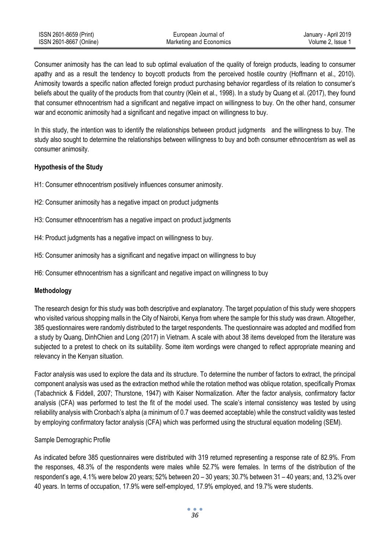| ISSN 2601-8659 (Print)  | European Journal of     | January - April 2019 |
|-------------------------|-------------------------|----------------------|
| ISSN 2601-8667 (Online) | Marketing and Economics | Volume 2. Issue 1    |

Consumer animosity has the can lead to sub optimal evaluation of the quality of foreign products, leading to consumer apathy and as a result the tendency to boycott products from the perceived hostile country (Hoffmann et al., 2010). Animosity towards a specific nation affected foreign product purchasing behavior regardless of its relation to consumer's beliefs about the quality of the products from that country (Klein et al., 1998). In a study by Quang et al. (2017), they found that consumer ethnocentrism had a significant and negative impact on willingness to buy. On the other hand, consumer war and economic animosity had a significant and negative impact on willingness to buy.

In this study, the intention was to identify the relationships between product judgments and the willingness to buy. The study also sought to determine the relationships between willingness to buy and both consumer ethnocentrism as well as consumer animosity.

# **Hypothesis of the Study**

- H1: Consumer ethnocentrism positively influences consumer animosity.
- H2: Consumer animosity has a negative impact on product judgments
- H3: Consumer ethnocentrism has a negative impact on product judgments
- H4: Product judgments has a negative impact on willingness to buy.
- H5: Consumer animosity has a significant and negative impact on willingness to buy
- H6: Consumer ethnocentrism has a significant and negative impact on willingness to buy

## **Methodology**

The research design for this study was both descriptive and explanatory. The target population of this study were shoppers who visited various shopping malls in the City of Nairobi, Kenya from where the sample for this study was drawn. Altogether, 385 questionnaires were randomly distributed to the target respondents. The questionnaire was adopted and modified from a study by Quang, DinhChien and Long (2017) in Vietnam. A scale with about 38 items developed from the literature was subjected to a pretest to check on its suitability. Some item wordings were changed to reflect appropriate meaning and relevancy in the Kenyan situation.

Factor analysis was used to explore the data and its structure. To determine the number of factors to extract, the principal component analysis was used as the extraction method while the rotation method was oblique rotation, specifically Promax (Tabachnick & Fiddell, 2007; Thurstone, 1947) with Kaiser Normalization. After the factor analysis, confirmatory factor analysis (CFA) was performed to test the fit of the model used. The scale's internal consistency was tested by using reliability analysis with Cronbach's alpha (a minimum of 0.7 was deemed acceptable) while the construct validity was tested by employing confirmatory factor analysis (CFA) which was performed using the structural equation modeling (SEM).

## Sample Demographic Profile

As indicated before 385 questionnaires were distributed with 319 returned representing a response rate of 82.9%. From the responses, 48.3% of the respondents were males while 52.7% were females. In terms of the distribution of the respondent's age, 4.1% were below 20 years; 52% between 20 – 30 years; 30.7% between 31 – 40 years; and, 13.2% over 40 years. In terms of occupation, 17.9% were self-employed, 17.9% employed, and 19.7% were students.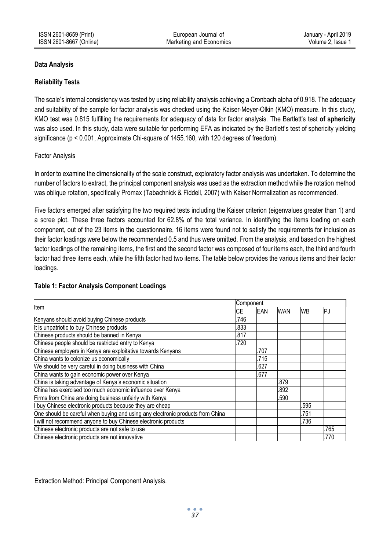# **Data Analysis**

## **Reliability Tests**

The scale's internal consistency was tested by using reliability analysis achieving a Cronbach alpha of 0.918. The adequacy and suitability of the sample for factor analysis was checked using the Kaiser-Meyer-Olkin (KMO) measure. In this study, KMO test was 0.815 fulfilling the requirements for adequacy of data for factor analysis. The Bartlett's test **of sphericity** was also used. In this study, data were suitable for performing EFA as indicated by the Bartlett's test of sphericity yielding significance (p < 0.001, Approximate Chi-square of 1455.160, with 120 degrees of freedom).

# Factor Analysis

In order to examine the dimensionality of the scale construct, exploratory factor analysis was undertaken. To determine the number of factors to extract, the principal component analysis was used as the extraction method while the rotation method was oblique rotation, specifically Promax (Tabachnick & Fiddell, 2007) with Kaiser Normalization as recommended.

Five factors emerged after satisfying the two required tests including the Kaiser criterion (eigenvalues greater than 1) and a scree plot. These three factors accounted for 62.8% of the total variance. In identifying the items loading on each component, out of the 23 items in the questionnaire, 16 items were found not to satisfy the requirements for inclusion as their factor loadings were below the recommended 0.5 and thus were omitted. From the analysis, and based on the highest factor loadings of the remaining items, the first and the second factor was composed of four items each, the third and fourth factor had three items each, while the fifth factor had two items. The table below provides the various items and their factor loadings.

## **Table 1: Factor Analysis Component Loadings**

| Item                                                                           |      | Component  |            |           |      |  |
|--------------------------------------------------------------------------------|------|------------|------------|-----------|------|--|
|                                                                                |      | <b>EAN</b> | <b>WAN</b> | <b>WB</b> | PJ   |  |
| Kenyans should avoid buying Chinese products                                   | .746 |            |            |           |      |  |
| It is unpatriotic to buy Chinese products                                      | .833 |            |            |           |      |  |
| Chinese products should be banned in Kenya                                     | .817 |            |            |           |      |  |
| Chinese people should be restricted entry to Kenya                             | .720 |            |            |           |      |  |
| Chinese employers in Kenya are exploitative towards Kenyans                    |      | .707       |            |           |      |  |
| China wants to colonize us economically                                        |      | .715       |            |           |      |  |
| We should be very careful in doing business with China                         |      | .627       |            |           |      |  |
| China wants to gain economic power over Kenya                                  |      | .677       |            |           |      |  |
| China is taking advantage of Kenya's economic situation                        |      |            | .879       |           |      |  |
| China has exercised too much economic influence over Kenya                     |      |            | .892       |           |      |  |
| Firms from China are doing business unfairly with Kenya                        |      |            | .590       |           |      |  |
| I buy Chinese electronic products because they are cheap                       |      |            |            | .595      |      |  |
| One should be careful when buying and using any electronic products from China |      |            |            | .751      |      |  |
| I will not recommend anyone to buy Chinese electronic products                 |      |            |            | .736      |      |  |
| Chinese electronic products are not safe to use                                |      |            |            |           | .765 |  |
| Chinese electronic products are not innovative                                 |      |            |            |           | .770 |  |

Extraction Method: Principal Component Analysis.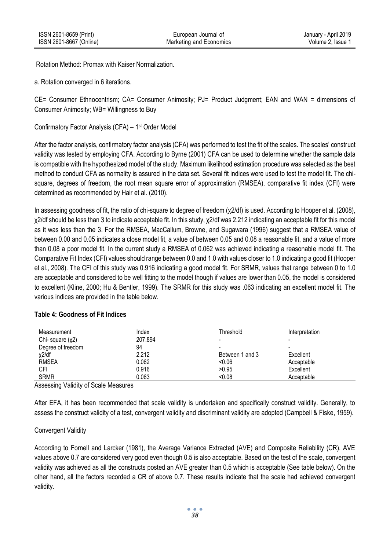Rotation Method: Promax with Kaiser Normalization.

a. Rotation converged in 6 iterations.

CE= Consumer Ethnocentrism; CA= Consumer Animosity; PJ= Product Judgment; EAN and WAN = dimensions of Consumer Animosity; WB= Willingness to Buy

Confirmatory Factor Analysis (CFA) – 1 st Order Model

After the factor analysis, confirmatory factor analysis (CFA) was performed to test the fit of the scales. The scales' construct validity was tested by employing CFA. According to Byrne (2001) CFA can be used to determine whether the sample data is compatible with the hypothesized model of the study. Maximum likelihood estimation procedure was selected as the best method to conduct CFA as normality is assured in the data set. Several fit indices were used to test the model fit. The chisquare, degrees of freedom, the root mean square error of approximation (RMSEA), comparative fit index (CFI) were determined as recommended by Hair et al. (2010).

In assessing goodness of fit, the ratio of chi-square to degree of freedom (χ2/df) is used. According to Hooper et al. (2008), χ2/df should be less than 3 to indicate acceptable fit. In this study, χ2/df was 2.212 indicating an acceptable fit for this model as it was less than the 3. For the RMSEA, MacCallum, Browne, and Sugawara (1996) suggest that a RMSEA value of between 0.00 and 0.05 indicates a close model fit, a value of between 0.05 and 0.08 a reasonable fit, and a value of more than 0.08 a poor model fit. In the current study a RMSEA of 0.062 was achieved indicating a reasonable model fit. The Comparative Fit Index (CFI) values should range between 0.0 and 1.0 with values closer to 1.0 indicating a good fit (Hooper et al., 2008). The CFI of this study was 0.916 indicating a good model fit. For SRMR, values that range between 0 to 1.0 are acceptable and considered to be well fitting to the model though if values are lower than 0.05, the model is considered to excellent (Kline, 2000; Hu & Bentler, 1999). The SRMR for this study was .063 indicating an excellent model fit. The various indices are provided in the table below.

| Measurement       | Index   | Threshold       | Interpretation |
|-------------------|---------|-----------------|----------------|
| Chi-square $(y2)$ | 207.894 |                 |                |
| Degree of freedom | 94      |                 |                |
| $x^2$ /df         | 2.212   | Between 1 and 3 | Excellent      |
| <b>RMSEA</b>      | 0.062   | < 0.06          | Acceptable     |
| <b>CFI</b>        | 0.916   | >0.95           | Excellent      |
| <b>SRMR</b>       | 0.063   | < 0.08          | Acceptable     |

## **Table 4: Goodness of Fit Indices**

Assessing Validity of Scale Measures

After EFA, it has been recommended that scale validity is undertaken and specifically construct validity. Generally, to assess the construct validity of a test, convergent validity and discriminant validity are adopted (Campbell & Fiske, 1959).

# Convergent Validity

According to Fornell and Larcker (1981), the Average Variance Extracted (AVE) and Composite Reliability (CR). AVE values above 0.7 are considered very good even though 0.5 is also acceptable. Based on the test of the scale, convergent validity was achieved as all the constructs posted an AVE greater than 0.5 which is acceptable (See table below). On the other hand, all the factors recorded a CR of above 0.7. These results indicate that the scale had achieved convergent validity.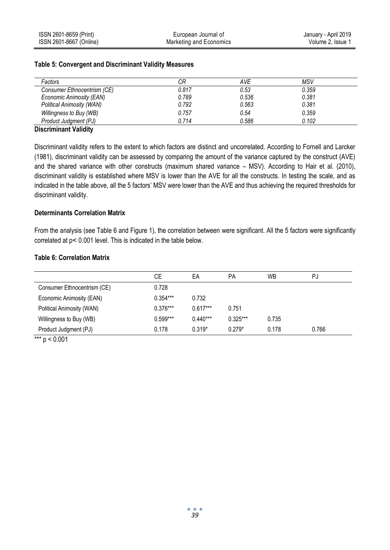| Factors                          | CR    | <b>AVE</b> | MSV   |  |
|----------------------------------|-------|------------|-------|--|
| Consumer Ethnocentrism (CE)      | 0.817 | 0.53       | 0.359 |  |
| Economic Animosity (EAN)         | 0.789 | 0.536      | 0.381 |  |
| <b>Political Animosity (WAN)</b> | 0.792 | 0.563      | 0.381 |  |
| Willingness to Buy (WB)          | 0.757 | 0.54       | 0.359 |  |
| Product Judament (PJ)            | 0 714 | 0.586      | 0.102 |  |
|                                  |       |            |       |  |

#### **Table 5: Convergent and Discriminant Validity Measures**

# **Discriminant Validity**

Discriminant validity refers to the extent to which factors are distinct and uncorrelated. According to Fornell and Larcker (1981), discriminant validity can be assessed by comparing the amount of the variance captured by the construct (AVE) and the shared variance with other constructs (maximum shared variance – MSV). According to Hair et al. (2010), discriminant validity is established where MSV is lower than the AVE for all the constructs. In testing the scale, and as indicated in the table above, all the 5 factors' MSV were lower than the AVE and thus achieving the required thresholds for discriminant validity.

#### **Determinants Correlation Matrix**

From the analysis (see Table 6 and Figure 1), the correlation between were significant. All the 5 factors were significantly correlated at p˂ 0.001 level. This is indicated in the table below.

## **Table 6: Correlation Matrix**

|                                 | СE         | EA         | PA         | <b>WB</b> | PJ    |  |
|---------------------------------|------------|------------|------------|-----------|-------|--|
| Consumer Ethnocentrism (CE)     | 0.728      |            |            |           |       |  |
| Economic Animosity (EAN)        | $0.354***$ | 0.732      |            |           |       |  |
| Political Animosity (WAN)       | $0.376***$ | $0.617***$ | 0.751      |           |       |  |
| Willingness to Buy (WB)         | $0.599***$ | $0.440***$ | $0.325***$ | 0.735     |       |  |
| Product Judgment (PJ)           | 0.178      | $0.319*$   | $0.279*$   | 0.178     | 0.766 |  |
| المتألف والمراكب<br>$\sim$ 0.01 |            |            |            |           |       |  |

\*\*\*  $p < 0.001$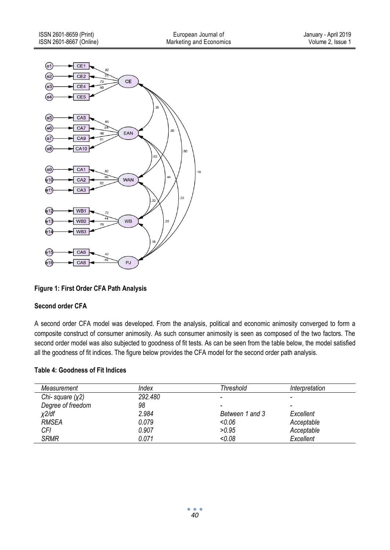

**Figure 1: First Order CFA Path Analysis**

# **Second order CFA**

A second order CFA model was developed. From the analysis, political and economic animosity converged to form a composite construct of consumer animosity. As such consumer animosity is seen as composed of the two factors. The second order model was also subjected to goodness of fit tests. As can be seen from the table below, the model satisfied all the goodness of fit indices. The figure below provides the CFA model for the second order path analysis.

# **Table 4: Goodness of Fit Indices**

| Measurement       | Index   | Threshold       | Interpretation |
|-------------------|---------|-----------------|----------------|
| Chi-square $(x2)$ | 292.480 | -               |                |
| Degree of freedom | 98      | -               |                |
| x2/df             | 2.984   | Between 1 and 3 | Excellent      |
| <b>RMSEA</b>      | 0.079   | < 0.06          | Acceptable     |
| CFI               | 0.907   | >0.95           | Acceptable     |
| <b>SRMR</b>       | 0.071   | < 0.08          | Excellent      |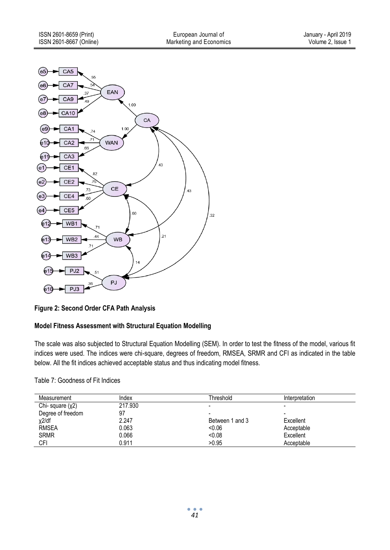

**Figure 2: Second Order CFA Path Analysis**

# **Model Fitness Assessment with Structural Equation Modelling**

The scale was also subjected to Structural Equation Modelling (SEM). In order to test the fitness of the model, various fit indices were used. The indices were chi-square, degrees of freedom, RMSEA, SRMR and CFI as indicated in the table below. All the fit indices achieved acceptable status and thus indicating model fitness.

#### Table 7: Goodness of Fit Indices

| Measurement       | Index   | Threshold       | Interpretation |  |
|-------------------|---------|-----------------|----------------|--|
| Chi-square $(y2)$ | 217.930 |                 |                |  |
| Degree of freedom | 97      |                 |                |  |
| χ2/df             | 2.247   | Between 1 and 3 | Excellent      |  |
| <b>RMSEA</b>      | 0.063   | < 0.06          | Acceptable     |  |
| <b>SRMR</b>       | 0.066   | < 0.08          | Excellent      |  |
| CFI               | 0.911   | >0.95           | Acceptable     |  |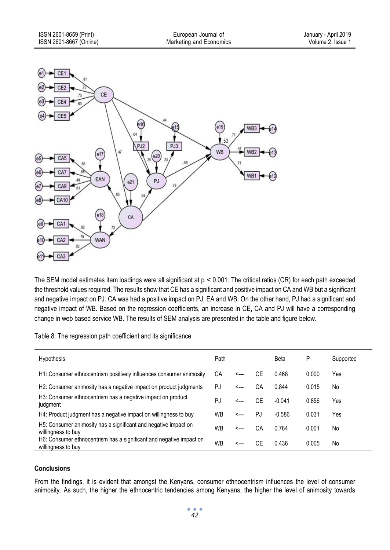

The SEM model estimates item loadings were all significant at  $p < 0.001$ . The critical ratios (CR) for each path exceeded the threshold values required. The results show that CE has a significant and positive impact on CA and WB but a significant and negative impact on PJ. CA was had a positive impact on PJ, EA and WB. On the other hand, PJ had a significant and negative impact of WB. Based on the regression coefficients, an increase in CE, CA and PJ will have a corresponding change in web based service WB. The results of SEM analysis are presented in the table and figure below.

Table 8: The regression path coefficient and its significance

| <b>Hypothesis</b>                                                                         | Path |      |    | Beta     | P     | Supported |
|-------------------------------------------------------------------------------------------|------|------|----|----------|-------|-----------|
| H1: Consumer ethnocentrism positively influences consumer animosity                       | СA   | <--- | CЕ | 0.468    | 0.000 | Yes       |
| H2: Consumer animosity has a negative impact on product judgments                         | PJ   | <--- | CА | 0.844    | 0.015 | No        |
| H3: Consumer ethnocentrism has a negative impact on product<br>judgment                   | PJ   | <--- | СE | $-0.041$ | 0.856 | Yes       |
| H4: Product judgment has a negative impact on willingness to buy                          | WB   | <--- | PJ | $-0.586$ | 0.031 | Yes       |
| H5: Consumer animosity has a significant and negative impact on<br>willingness to buy     | WB   | <--- | CА | 0.784    | 0.001 | No        |
| H6: Consumer ethnocentrism has a significant and negative impact on<br>willingness to buy | WB   | ⊂--- | СE | 0436     | 0.005 | No        |

## **Conclusions**

From the findings, it is evident that amongst the Kenyans, consumer ethnocentrism influences the level of consumer animosity. As such, the higher the ethnocentric tendencies among Kenyans, the higher the level of animosity towards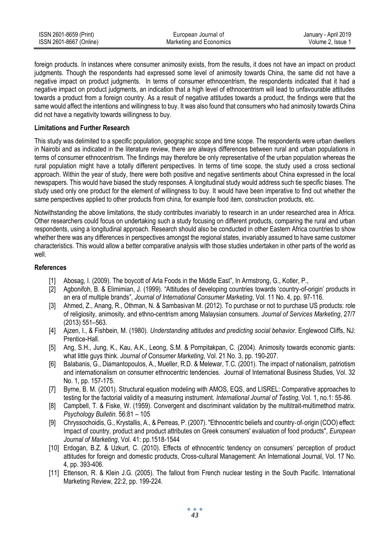| ISSN 2601-8659 (Print)  | European Journal of     | January - April 2019 |
|-------------------------|-------------------------|----------------------|
| ISSN 2601-8667 (Online) | Marketing and Economics | Volume 2. Issue 1    |

foreign products. In instances where consumer animosity exists, from the results, it does not have an impact on product judgments. Though the respondents had expressed some level of animosity towards China, the same did not have a negative impact on product judgments. In terms of consumer ethnocentrism, the respondents indicated that it had a negative impact on product judgments, an indication that a high level of ethnocentrism will lead to unfavourable attitudes towards a product from a foreign country. As a result of negative attitudes towards a product, the findings were that the same would affect the intentions and willingness to buy. It was also found that consumers who had animosity towards China did not have a negativity towards willingness to buy.

#### **Limitations and Further Research**

This study was delimited to a specific population, geographic scope and time scope. The respondents were urban dwellers in Nairobi and as indicated in the literature review, there are always differences between rural and urban populations in terms of consumer ethnocentrism. The findings may therefore be only representative of the urban population whereas the rural population might have a totally different perspectives. In terms of time scope, the study used a cross sectional approach. Within the year of study, there were both positive and negative sentiments about China expressed in the local newspapers. This would have biased the study responses. A longitudinal study would address such tie specific biases. The study used only one product for the element of willingness to buy. It would have been imperative to find out whether the same perspectives applied to other products from china, for example food item, construction products, etc.

Notwithstanding the above limitations, the study contributes invariably to research in an under researched area in Africa. Other researchers could focus on undertaking such a study focusing on different products, comparing the rural and urban respondents, using a longitudinal approach. Research should also be conducted in other Eastern Africa countries to show whether there was any differences in perspectives amongst the regional states, invariably assumed to have same customer characteristics. This would allow a better comparative analysis with those studies undertaken in other parts of the world as well.

#### **References**

- [1] Abosag, I. (2009). The boycott of Arla Foods in the Middle East", In Armstrong, G., Kotler, P.,
- [2] Agbonifoh, B. & Elimimian, J. (1999). "Attitudes of developing countries towards 'country-of-origin' products in an era of multiple brands", *Journal of International Consumer Marketing*, Vol. 11 No. 4, pp. 97-116.
- [3] Ahmed, Z., Anang, R., Othman, N. & Sambasivan M. (2012). To purchase or not to purchase US products: role of religiosity, animosity, and ethno-centrism among Malaysian consumers. *Journal of Services Marketing*, 27/7 (2013) 551–563.
- [4] Ajzen, I., & Fishbein, M. (1980). *Understanding attitudes and predicting social behavior*. Englewood Cliffs, NJ: Prentice-Hall.
- [5] Ang, S.H., Jung, K., Kau, A.K., Leong, S.M. & Pornpitakpan, C. (2004). Animosity towards economic giants: what little guys think. *Journal of Consumer Marketing*, Vol. 21 No. 3, pp. 190-207.
- [6] Balabanis, G., Diamantopoulos, A., Mueller, R.D. & Melewar, T.C. (2001). The impact of nationalism, patriotism and internationalism on consumer ethnocentric tendencies. Journal of International Business Studies, Vol. 32 No. 1, pp. 157-175.
- [7] Byrne, B. M. (2001). Structural equation modeling with AMOS, EQS, and LISREL: Comparative approaches to testing for the factorial validity of a measuring instrument. *International Journal of Testing*, Vol. 1, no.1: 55-86.
- [8] Campbell, T. & Fiske, W. (1959). Convergent and discriminant validation by the multitrait-multimethod matrix. *Psychology Bulletin.* 56:81 – 105
- [9] Chryssochoidis, G., Krystallis, A., & Perreas, P. (2007). "Ethnocentric beliefs and country‐of‐origin (COO) effect: Impact of country, product and product attributes on Greek consumers' evaluation of food products", *European Journal of Marketing*, Vol. 41: pp.1518-1544
- [10] Erdogan, B.Z. & Uzkurt, C. (2010). Effects of ethnocentric tendency on consumers' perception of product attitudes for foreign and domestic products, Cross-cultural Management: An International Journal, Vol. 17 No. 4, pp. 393-406.
- [11] Ettenson, R. & Klein J.G. (2005). The fallout from French nuclear testing in the South Pacific. International Marketing Review, 22:2, pp. 199-224.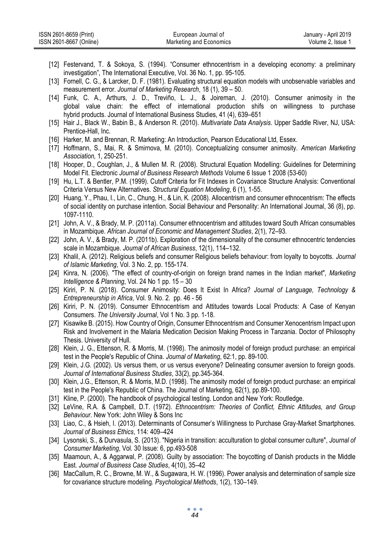| ISSN 2601-8659 (Print)  | European Journal of     | January - April 2019 |
|-------------------------|-------------------------|----------------------|
| ISSN 2601-8667 (Online) | Marketing and Economics | Volume 2. Issue 1    |

- [12] Festervand, T. & Sokoya, S. (1994). "Consumer ethnocentrism in a developing economy: a preliminary investigation", The International Executive, Vol. 36 No. 1, pp. 95-105.
- [13] Fornell, C. G., & Larcker, D. F. (1981). Evaluating structural equation models with unobservable variables and measurement error. *Journal of Marketing Research*, 18 (1), 39 – 50.
- [14] Funk, C. A., Arthurs, J. D., Treviño, L. J., & Joireman, J. (2010). Consumer animosity in the global value chain: the effect of international production shifs on willingness to purchase hybrid products. Journal of International Business Studies, 41 (4), 639–651
- [15] Hair J., Black W., Babin B., & Anderson R. (2010). *Multivariate Data Analysis*. Upper Saddle River, NJ, USA: Prentice-Hall, Inc.
- [16] Harker, M. and Brennan, R. Marketing: An Introduction, Pearson Educational Ltd, Essex.
- [17] Hoffmann, S., Mai, R. & Smirnova, M. (2010). Conceptualizing consumer animosity. *American Marketing Association,* 1, 250-251.
- [18] Hooper, D., Coughlan, J., & Mullen M. R. (2008). Structural Equation Modelling: Guidelines for Determining Model Fit. Electronic *Journal of Business Research Methods* Volume 6 Issue 1 2008 (53-60)
- [19] Hu, L.T. & Bentler, P.M. (1999). Cutoff Criteria for Fit Indexes in Covariance Structure Analysis: Conventional Criteria Versus New Alternatives. *Structural Equation Modeling*, 6 (1), 1-55.
- [20] Huang, Y., Phau, I., Lin, C., Chung, H., & Lin, K. (2008). Allocentrism and consumer ethnocentrism: The effects of social identity on purchase intention. Social Behaviour and Personality: An International Journal, 36 (8), pp. 1097-1110.
- [21] John, A. V., & Brady, M. P. (2011a). Consumer ethnocentrism and attitudes toward South African consumables in Mozambique. *African Journal of Economic and Management Studies*, 2(1), 72–93.
- [22] John, A. V., & Brady, M. P. (2011b). Exploration of the dimensionality of the consumer ethnocentric tendencies scale in Mozambique. *Journal of African Business*, 12(1), 114–132.
- [23] Khalil, A. (2012). Religious beliefs and consumer Religious beliefs behaviour: from loyalty to boycotts. *Journal of Islamic Marketing*, Vol. 3 No. 2, pp. 155-174.
- [24] Kinra, N. (2006). "The effect of country-of-origin on foreign brand names in the Indian market", *Marketing Intelligence & Planning*, Vol. 24 No 1 pp. 15 – 30
- [25] Kiriri, P. N. (2018). Consumer Animosity: Does It Exist In Africa? *Journal of Language, Technology & Entrepreneurship in Africa*, Vol. 9. No. 2. pp. 46 - 56
- [26] Kiriri, P. N. (2019). Consumer Ethnocentrism and Attitudes towards Local Products: A Case of Kenyan Consumers. *The University Journal*, Vol 1 No. 3 pp. 1-18.
- [27] Kisawike B. (2015). How Country of Origin, Consumer Ethnocentrism and Consumer Xenocentrism Impact upon Risk and Involvement in the Malaria Medication Decision Making Process in Tanzania. Doctor of Philosophy Thesis. University of Hull.
- [28] Klein, J. G., Ettenson, R. & Morris, M. (1998). The animosity model of foreign product purchase: an empirical test in the People's Republic of China. *Journal of Marketing*, 62:1, pp. 89-100.
- [29] Klein, J.G. (2002). Us versus them, or us versus everyone? Delineating consumer aversion to foreign goods. *Journal of International Business Studies*, 33(2), pp.345-364.
- [30] Klein, J.G., Ettenson, R. & Morris, M.D. (1998). The animosity model of foreign product purchase: an empirical test in the People's Republic of China. The Journal of Marketing, 62(1), pp.89-100.
- [31] Kline, P. (2000). The handbook of psychological testing. London and New York: Routledge.
- [32] LeVine, R.A. & Campbell, D.T. (1972). *Ethnocentrism: Theories of Conflict, Ethnic Attitudes, and Group Behaviour*. New York: John Wiley & Sons Inc
- [33] Liao, C., & Hsieh, I. (2013). Determinants of Consumer's Willingness to Purchase Gray-Market Smartphones. *Journal of Business Ethics*, 114: 409–424
- [34] Lysonski, S., & Durvasula, S. (2013). "Nigeria in transition: acculturation to global consumer culture", *Journal of Consumer Marketing*, Vol. 30 Issue: 6, pp.493-508
- [35] Maamoun, A., & Aggarwal, P. (2008). Guilty by association: The boycotting of Danish products in the Middle East. *Journal of Business Case Studies*, 4(10), 35–42
- [36] MacCallum, R. C., Browne, M. W., & Sugawara, H. W. (1996). Power analysis and determination of sample size for covariance structure modeling*. Psychological Methods*, 1(2), 130–149.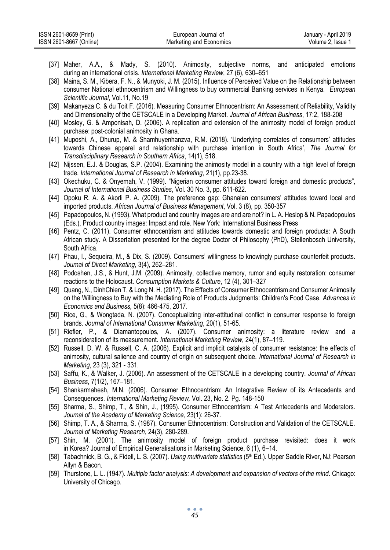| ISSN 2601-8659 (Print)  | European Journal of     | January - April 2019 |
|-------------------------|-------------------------|----------------------|
| ISSN 2601-8667 (Online) | Marketing and Economics | Volume 2. Issue      |

- [37] Maher, A.A., & Mady, S. (2010). Animosity, subjective norms, and anticipated emotions during an international crisis. *International Marketing Review*, 27 (6), 630–651
- [38] Maina, S. M., Kibera, F. N., & Munyoki, J. M. (2015). Influence of Perceived Value on the Relationship between consumer National ethnocentrism and Willingness to buy commercial Banking services in Kenya. *European Scientific Journal*, Vol.11, No.19
- [39] Makanyeza C. & du Toit F. (2016). Measuring Consumer Ethnocentrism: An Assessment of Reliability, Validity and Dimensionality of the CETSCALE in a Developing Market. *Journal of African Business*, 17:2, 188-208
- [40] Mosley, G. & Amponisah, D. (2006). A replication and extension of the animosity model of foreign product purchase: post-colonial animosity in Ghana.
- [41] Muposhi, A., Dhurup, M. & Shamhuyenhanzva, R.M. (2018). 'Underlying correlates of consumers' attitudes towards Chinese apparel and relationship with purchase intention in South Africa', *The Journal for Transdisciplinary Research in Southern Africa*, 14(1), 518.
- [42] Nijssen, E.J. & Douglas, S.P. (2004). Examining the animosity model in a country with a high level of foreign trade. *International Journal of Research in Marketing*, 21(1), pp.23-38.
- [43] Okechuku, C. & Onyemah, V. (1999). "Nigerian consumer attitudes toward foreign and domestic products", *Journal of International Business Studies*, Vol. 30 No. 3, pp. 611-622.
- [44] Opoku R. A. & Akorli P. A. (2009). The preference gap: Ghanaian consumers' attitudes toward local and imported products. *African Journal of Business Management*, Vol. 3 (8), pp. 350-357
- [45] Papadopoulos, N. (1993). What product and country images are and are not? In L. A. Heslop & N. Papadopoulos (Eds.), Product country images: Impact and role. New York: International Business Press
- [46] Pentz, C. (2011). Consumer ethnocentrism and attitudes towards domestic and foreign products: A South African study. A Dissertation presented for the degree Doctor of Philosophy (PhD), Stellenbosch University, South Africa.
- [47] Phau, I., Sequeira, M., & Dix, S. (2009). Consumers' willingness to knowingly purchase counterfeit products. *Journal of Direct Marketing*, 3(4), 262–281.
- [48] Podoshen, J.S., & Hunt, J.M. (2009). Animosity, collective memory, rumor and equity restoration: consumer reactions to the Holocaust. *Consumption Markets & Culture*, 12 (4), 301–327
- [49] Quang, N., DinhChien T, & Long N. H. (2017). The Effects of Consumer Ethnocentrism and Consumer Animosity on the Willingness to Buy with the Mediating Role of Products Judgments: Children's Food Case. *Advances in Economics and Business,* 5(8): 466-475, 2017.
- [50] Rice, G., & Wongtada, N. (2007). Conceptualizing inter-attitudinal conflict in consumer response to foreign brands. *Journal of International Consumer Marketing*, 20(1), 51-65.
- [51] Riefler, P., & Diamantopoulos, A. (2007). Consumer animosity: a literature review and a reconsideration of its measurement. *International Marketing Review*, 24(1), 87–119.
- [52] Russell, D. W. & Russell, C. A. (2006). Explicit and implicit catalysts of consumer resistance: the effects of animosity, cultural salience and country of origin on subsequent choice*. International Journal of Research in Marketing*, 23 (3), 321 - 331.
- [53] Saffu, K., & Walker, J. (2006). An assessment of the CETSCALE in a developing country. *Journal of African Business*, 7(1/2), 167–181.
- [54] Shankarmahesh, M.N. (2006). Consumer Ethnocentrism: An Integrative Review of its Antecedents and Consequences. *International Marketing Review,* Vol. 23, No. 2. Pg. 148-150
- [55] Sharma, S., Shimp, T., & Shin, J., (1995). Consumer Ethnocentrism: A Test Antecedents and Moderators. *Journal of the Academy of Marketing Science*, 23(1): 26-37.
- [56] Shimp, T. A., & Sharma, S. (1987). Consumer Ethnocentrism: Construction and Validation of the CETSCALE. *Journal of Marketing Research*, 24(3), 280-289.
- [57] Shin, M. (2001). The animosity model of foreign product purchase revisited: does it work in Korea? Journal of Empirical Generalisations in Marketing Science, 6 (1), 6–14.
- [58] Tabachnick, B. G., & Fidell, L. S. (2007). *Using multivariate statistics* (5th Ed.). Upper Saddle River, NJ: Pearson Allyn & Bacon.
- [59] Thurstone, L. L. (1947). *Multiple factor analysis: A development and expansion of vectors of the mind*. Chicago: University of Chicago.